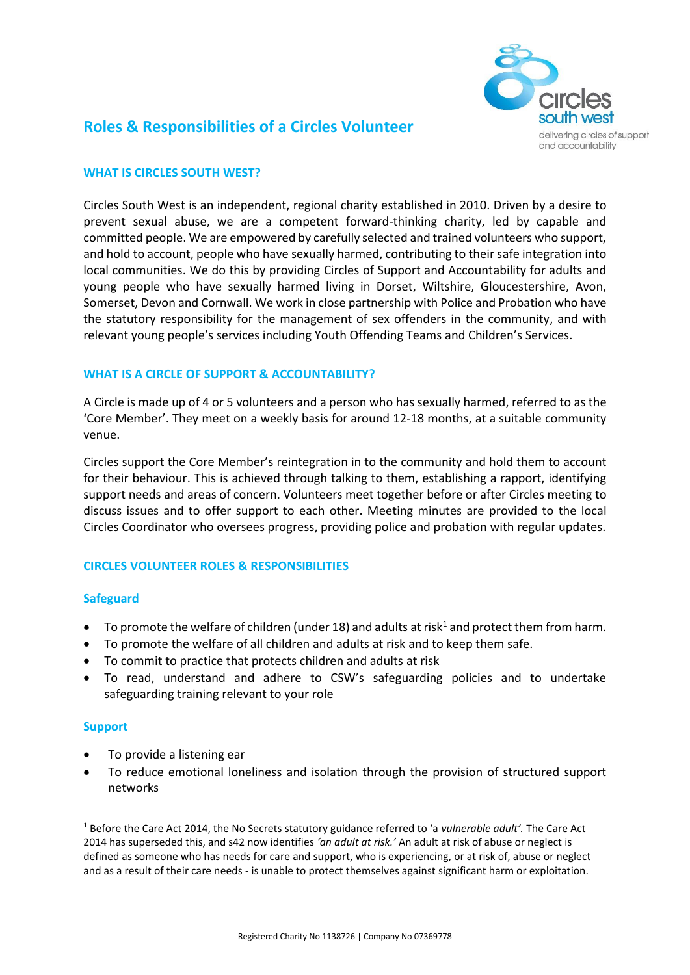

# **Roles & Responsibilities of a Circles Volunteer**

## **WHAT IS CIRCLES SOUTH WEST?**

Circles South West is an independent, regional charity established in 2010. Driven by a desire to prevent sexual abuse, we are a competent forward-thinking charity, led by capable and committed people. We are empowered by carefully selected and trained volunteers who support, and hold to account, people who have sexually harmed, contributing to their safe integration into local communities. We do this by providing Circles of Support and Accountability for adults and young people who have sexually harmed living in Dorset, Wiltshire, Gloucestershire, Avon, Somerset, Devon and Cornwall. We work in close partnership with Police and Probation who have the statutory responsibility for the management of sex offenders in the community, and with relevant young people's services including Youth Offending Teams and Children's Services.

## **WHAT IS A CIRCLE OF SUPPORT & ACCOUNTABILITY?**

A Circle is made up of 4 or 5 volunteers and a person who has sexually harmed, referred to as the 'Core Member'. They meet on a weekly basis for around 12-18 months, at a suitable community venue.

Circles support the Core Member's reintegration in to the community and hold them to account for their behaviour. This is achieved through talking to them, establishing a rapport, identifying support needs and areas of concern. Volunteers meet together before or after Circles meeting to discuss issues and to offer support to each other. Meeting minutes are provided to the local Circles Coordinator who oversees progress, providing police and probation with regular updates.

## **CIRCLES VOLUNTEER ROLES & RESPONSIBILITIES**

## **Safeguard**

- $\bullet$  To promote the welfare of children (under 18) and adults at risk<sup>1</sup> and protect them from harm.
- To promote the welfare of all children and adults at risk and to keep them safe.
- To commit to practice that protects children and adults at risk
- To read, understand and adhere to CSW's safeguarding policies and to undertake safeguarding training relevant to your role

## **Support**

1

- To provide a listening ear
- To reduce emotional loneliness and isolation through the provision of structured support networks

<sup>1</sup> Before the Care Act 2014, the No Secrets statutory guidance referred to 'a *vulnerable adult'.* The Care Act 2014 has superseded this, and s42 now identifies *'an adult at risk.'* An adult at risk of abuse or neglect is defined as someone who has needs for care and support, who is experiencing, or at risk of, abuse or neglect and as a result of their care needs - is unable to protect themselves against significant harm or exploitation.